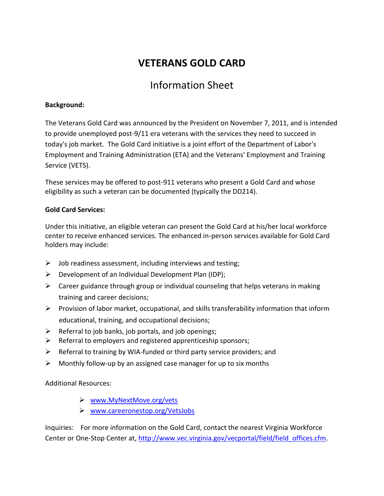## **VETERANS GOLD CARD**

# Information Sheet

### **Background:**

The Veterans Gold Card was announced by the President on November 7, 2011, and is intended to provide unemployed post-9/11 era veterans with the services they need to succeed in today's job market. The Gold Card initiative is a joint effort of the Department of Labor's Employment and Training Administration (ETA) and the Veterans' Employment and Training Service (VETS).

These services may be offered to post-911 veterans who present a Gold Card and whose eligibility as such a veteran can be documented (typically the DD214).

## **Gold Card Services:**

Under this initiative, an eligible veteran can present the Gold Card at his/her local workforce center to receive enhanced services. The enhanced in-person services available for Gold Card holders may include:

- $\triangleright$  Job readiness assessment, including interviews and testing;
- $\triangleright$  Development of an Individual Development Plan (IDP);
- $\triangleright$  Career guidance through group or individual counseling that helps veterans in making training and career decisions;
- $\triangleright$  Provision of labor market, occupational, and skills transferability information that inform educational, training, and occupational decisions;
- $\triangleright$  Referral to job banks, job portals, and job openings;
- $\triangleright$  Referral to employers and registered apprenticeship sponsors;
- $\triangleright$  Referral to training by WIA-funded or third party service providers; and
- $\triangleright$  Monthly follow-up by an assigned case manager for up to six months

Additional Resources:

- [www.MyNextMove.org/vets](http://www.mynextmove.org/vets)
- [www.careeronestop.org/VetsJobs](http://www.careeronestop.org/VetsJobs)

Inquiries: For more information on the Gold Card, contact the nearest Virginia Workforce Center or One-Stop Center at[, http://www.vec.virginia.gov/vecportal/field/field\\_offices.cfm.](http://www.vec.virginia.gov/vecportal/field/field_offices.cfm)